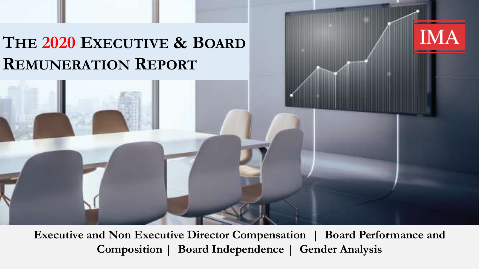# **THE 2020 EXECUTIVE & BOARD REMUNERATION REPORT**

**Executive and Non Executive Director Compensation | Board Performance and Composition | Board Independence | Gender Analysis**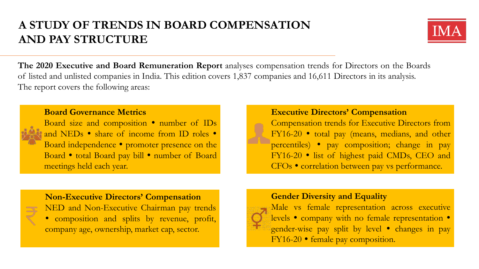## **A STUDY OF TRENDS IN BOARD COMPENSATION AND PAY STRUCTURE**



**The 2020 Executive and Board Remuneration Report** analyses compensation trends for Directors on the Boards of listed and unlisted companies in India. This edition covers 1,837 companies and 16,611 Directors in its analysis. The report covers the following areas:



## **Board Governance Metrics**

Board size and composition • number of IDs and NEDs • share of income from ID roles • Board independence  $\bullet$  promoter presence on the Board • total Board pay bill • number of Board meetings held each year.

## **Executive Directors' Compensation**

Compensation trends for Executive Directors from FY16-20 • total pay (means, medians, and other percentiles) • pay composition; change in pay FY16-20 • list of highest paid CMDs, CEO and CFOs • correlation between pay vs performance.

#### **Non-Executive Directors' Compensation**

NED and Non-Executive Chairman pay trends composition and splits by revenue, profit, company age, ownership, market cap, sector.

## **Gender Diversity and Equality**



Male vs female representation across executive levels • company with no female representation • gender-wise pay split by level • changes in pay FY16-20 • female pay composition.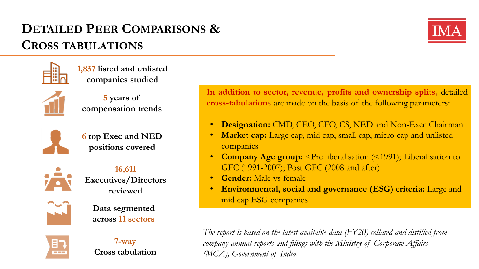# **DETAILED PEER COMPARISONS & CROSS TABULATIONS**





**1,837 listed and unlisted companies studied**



**5 years of compensation trends**



**6 top Exec and NED positions covered**



**16,611 Executives/Directors reviewed**



**Data segmented across 11 sectors**



**7-way Cross tabulation**

**In addition to sector, revenue, profits and ownership splits,** detailed **cross-tabulations** are made on the basis of the following parameters:

- **Designation:** CMD, CEO, CFO, CS, NED and Non-Exec Chairman
- **Market cap:** Large cap, mid cap, small cap, micro cap and unlisted companies
- **Company Age group:** <Pre liberalisation (<1991); Liberalisation to GFC (1991-2007); Post GFC (2008 and after)
- **Gender:** Male vs female
- **Environmental, social and governance (ESG) criteria:** Large and mid cap ESG companies

*The report is based on the latest available data (FY20) collated and distilled from company annual reports and filings with the Ministry of Corporate Affairs (MCA), Government of India.*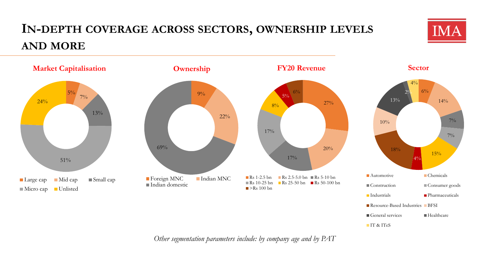# **IN-DEPTH COVERAGE ACROSS SECTORS, OWNERSHIP LEVELS AND MORE**



*Other segmentation parameters include: by company age and by PAT*

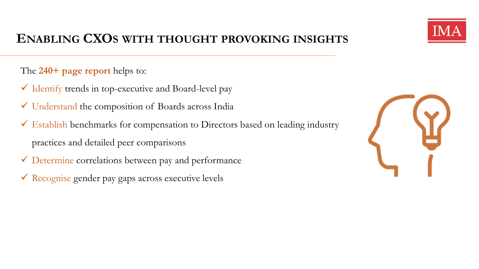

## **ENABLING CXOS WITH THOUGHT PROVOKING INSIGHTS**

The **240+ page report** helps to:

- $\checkmark$  Identify trends in top-executive and Board-level pay
- Understand the composition of Boards across India
- $\checkmark$  Establish benchmarks for compensation to Directors based on leading industry practices and detailed peer comparisons
- Determine correlations between pay and performance
- Recognise gender pay gaps across executive levels

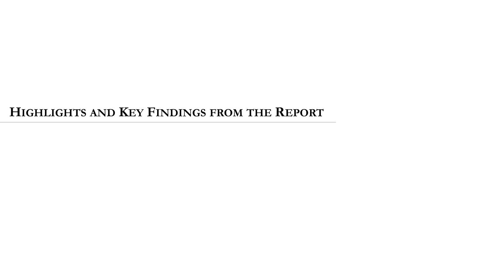## **HIGHLIGHTS AND KEY FINDINGS FROM THE REPORT**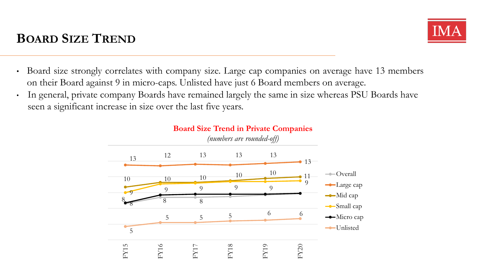# **BOARD SIZE TREND**



- Board size strongly correlates with company size. Large cap companies on average have 13 members on their Board against 9 in micro-caps. Unlisted have just 6 Board members on average.
- In general, private company Boards have remained largely the same in size whereas PSU Boards have seen a significant increase in size over the last five years.

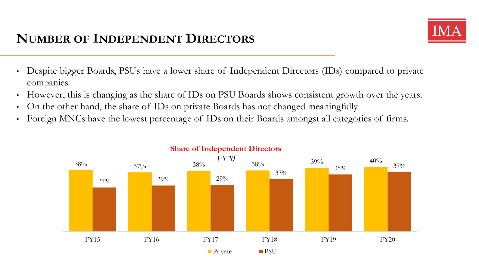# **NUMBER OF INDEPENDENT DIRECTORS**



- Despite bigger Boards, PSUs have a lower share of Independent Directors (IDs) compared to private companies.
- However, this is changing as the share of IDs on PSU Boards shows consistent growth over the years.
- On the other hand, the share of IDs on private Boards has not changed meaningfully.
- Foreign MNCs have the lowest percentage of IDs on their Boards amongst all categories of firms.



## **Share of Independent Directors**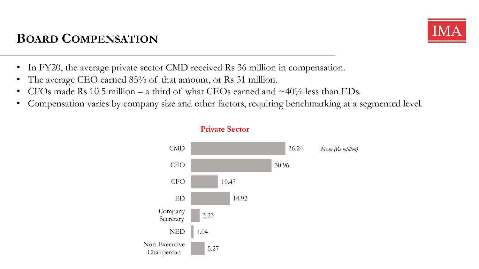# **BOARD COMPENSATION**



- In FY20, the average private sector CMD received Rs 36 million in compensation.
- The average CEO earned 85% of that amount, or Rs 31 million.
- CFOs made Rs 10.5 million a third of what CEOs earned and  $\sim 40\%$  less than EDs.
- Compensation varies by company size and other factors, requiring benchmarking at a segmented level.

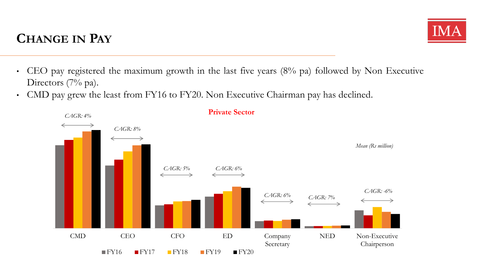# **CHANGE IN PAY**



- CEO pay registered the maximum growth in the last five years (8% pa) followed by Non Executive Directors (7% pa).
- CMD pay grew the least from FY16 to FY20. Non Executive Chairman pay has declined.



**Private Sector**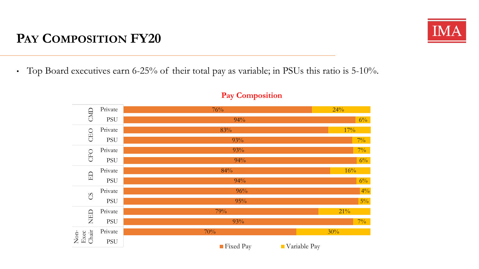# **PAY COMPOSITION FY20**

• Top Board executives earn 6-25% of their total pay as variable; in PSUs this ratio is  $5\text{-}10\%$ .



## **Pay Composition**

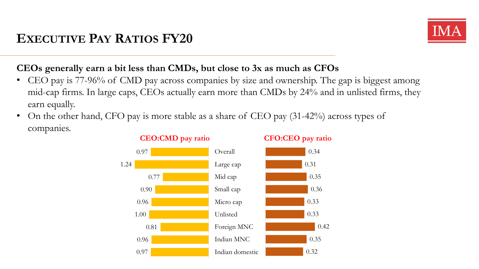

## **CEOs generally earn a bit less than CMDs, but close to 3x as much as CFOs**

- CEO pay is 77-96% of CMD pay across companies by size and ownership. The gap is biggest among mid-cap firms. In large caps, CEOs actually earn more than CMDs by 24% and in unlisted firms, they earn equally.
- On the other hand, CFO pay is more stable as a share of CEO pay (31-42%) across types of companies.



#### **CEO:CMD pay ratio CFO:CEO pay ratio**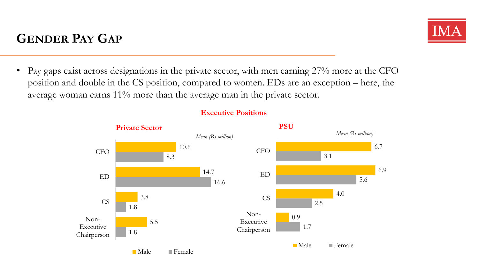## • Pay gaps exist across designations in the private sector, with men earning 27% more at the CFO position and double in the CS position, compared to women. EDs are an exception – here, the average woman earns 11% more than the average man in the private sector.



## **Executive Positions**

# **GENDER PAY GAP**

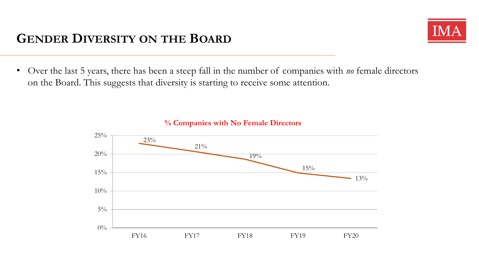## **GENDER DIVERSITY ON THE BOARD**



• Over the last 5 years, there has been a steep fall in the number of companies with *no* female directors on the Board. This suggests that diversity is starting to receive some attention.



**% Companies with No Female Directors**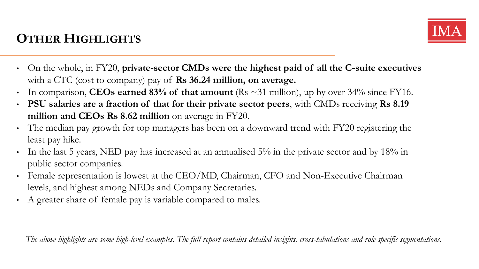# **OTHER HIGHLIGHTS**



- On the whole, in FY20, **private-sector CMDs were the highest paid of all the C-suite executives** with a CTC (cost to company) pay of **Rs 36.24 million, on average.**
- In comparison, **CEOs earned 83% of that amount** (Rs  $\sim$  31 million), up by over 34% since FY16.
- **PSU salaries are a fraction of that for their private sector peers**, with CMDs receiving **Rs 8.19 million and CEOs Rs 8.62 million** on average in FY20.
- The median pay growth for top managers has been on a downward trend with FY20 registering the least pay hike.
- In the last 5 years, NED pay has increased at an annualised 5% in the private sector and by 18% in public sector companies.
- Female representation is lowest at the CEO/MD, Chairman, CFO and Non-Executive Chairman levels, and highest among NEDs and Company Secretaries.
- A greater share of female pay is variable compared to males.

*The above highlights are some high-level examples. The full report contains detailed insights, cross-tabulations and role specific segmentations.*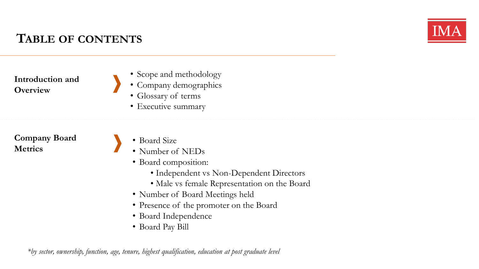

**Introduction and Overview**

- Scope and methodology
- Company demographics
	- Glossary of terms
- Executive summary

**Company Board Metrics**

- Board Size
- Number of NEDs
- Board composition:
	- Independent vs Non-Dependent Directors
	- Male vs female Representation on the Board
- Number of Board Meetings held
- Presence of the promoter on the Board
- Board Independence
- Board Pay Bill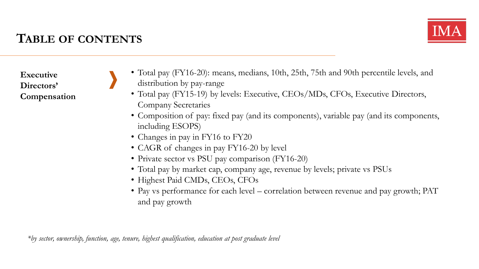

**Executive Directors' Compensation**

- Total pay (FY16-20): means, medians, 10th, 25th, 75th and 90th percentile levels, and distribution by pay-range
	- Total pay (FY15-19) by levels: Executive, CEOs/MDs, CFOs, Executive Directors, Company Secretaries
	- Composition of pay: fixed pay (and its components), variable pay (and its components, including ESOPS)
	- Changes in pay in FY16 to FY20
	- CAGR of changes in pay FY16-20 by level
	- Private sector vs PSU pay comparison (FY16-20)
	- Total pay by market cap, company age, revenue by levels; private vs PSUs
	- Highest Paid CMDs, CEOs, CFOs
	- Pay vs performance for each level correlation between revenue and pay growth; PAT and pay growth

*\*by sector, ownership, function, age, tenure, highest qualification, education at post graduate level*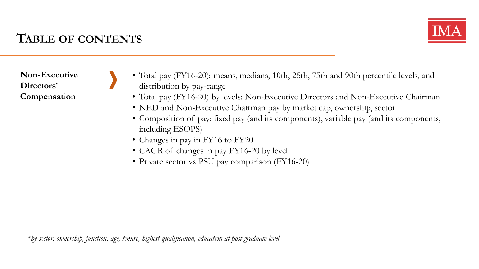

**Non-Executive Directors' Compensation**

- Total pay (FY16-20): means, medians, 10th, 25th, 75th and 90th percentile levels, and distribution by pay-range
	- Total pay (FY16-20) by levels: Non-Executive Directors and Non-Executive Chairman
	- NED and Non-Executive Chairman pay by market cap, ownership, sector
	- Composition of pay: fixed pay (and its components), variable pay (and its components, including ESOPS)
	- Changes in pay in FY16 to FY20
	- CAGR of changes in pay FY16-20 by level
	- Private sector vs PSU pay comparison (FY16-20)

*\*by sector, ownership, function, age, tenure, highest qualification, education at post graduate level*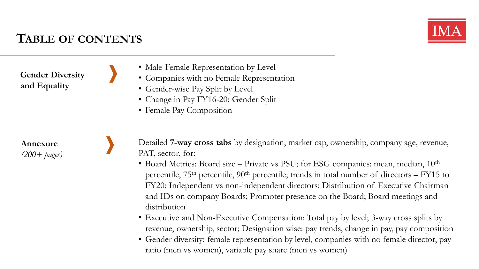

**Gender Diversity and Equality**

- Male-Female Representation by Level
- Companies with no Female Representation
- Gender-wise Pay Split by Level
- Change in Pay FY16-20: Gender Split
- Female Pay Composition

**Annexure** *(200+ pages)*

- Detailed **7-way cross tabs** by designation, market cap, ownership, company age, revenue, PAT, sector, for:
- Board Metrics: Board size Private vs PSU; for ESG companies: mean, median,  $10<sup>th</sup>$ percentile,  $75<sup>th</sup>$  percentile,  $90<sup>th</sup>$  percentile; trends in total number of directors – FY15 to FY20; Independent vs non-independent directors; Distribution of Executive Chairman and IDs on company Boards; Promoter presence on the Board; Board meetings and distribution
- Executive and Non-Executive Compensation: Total pay by level; 3-way cross splits by revenue, ownership, sector; Designation wise: pay trends, change in pay, pay composition
- Gender diversity: female representation by level, companies with no female director, pay ratio (men vs women), variable pay share (men vs women)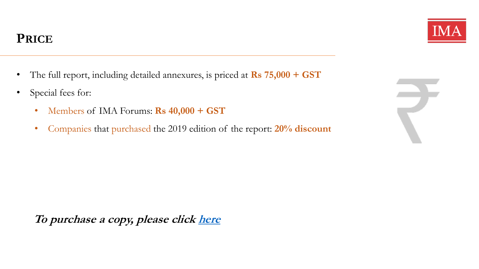- The full report, including detailed annexures, is priced at **Rs 75,000 + GST**
- Special fees for:
	- Members of IMA Forums: **Rs 40,000 + GST**
	- Companies that purchased the 2019 edition of the report: **20% discount**

**To purchase a copy, please click [here](https://www.ima-india.com/reports/DC_Report_2020/)**



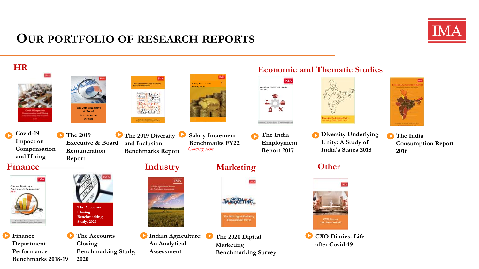## **OUR PORTFOLIO OF RESEARCH REPORTS**